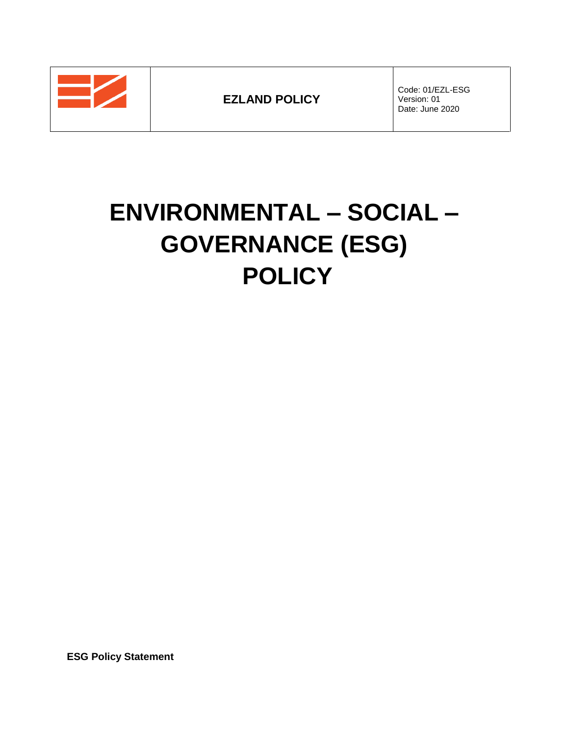**EZLAND POLICY**

Code: 01/EZL-ESG Version: 01 Date: June 2020

# **ENVIRONMENTAL – SOCIAL – GOVERNANCE (ESG) POLICY**

**ESG Policy Statement**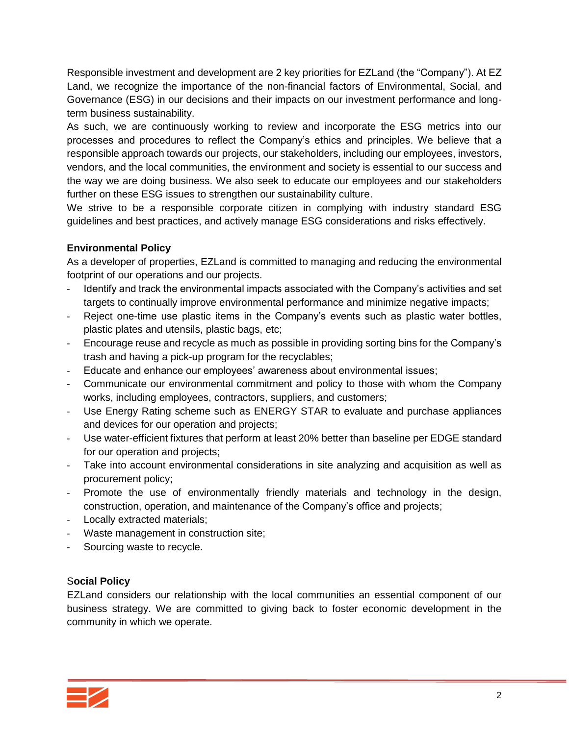Responsible investment and development are 2 key priorities for EZLand (the "Company"). At EZ Land, we recognize the importance of the non-financial factors of Environmental, Social, and Governance (ESG) in our decisions and their impacts on our investment performance and longterm business sustainability.

As such, we are continuously working to review and incorporate the ESG metrics into our processes and procedures to reflect the Company's ethics and principles. We believe that a responsible approach towards our projects, our stakeholders, including our employees, investors, vendors, and the local communities, the environment and society is essential to our success and the way we are doing business. We also seek to educate our employees and our stakeholders further on these ESG issues to strengthen our sustainability culture.

We strive to be a responsible corporate citizen in complying with industry standard ESG guidelines and best practices, and actively manage ESG considerations and risks effectively.

## **Environmental Policy**

As a developer of properties, EZLand is committed to managing and reducing the environmental footprint of our operations and our projects.

- Identify and track the environmental impacts associated with the Company's activities and set targets to continually improve environmental performance and minimize negative impacts;
- Reject one-time use plastic items in the Company's events such as plastic water bottles, plastic plates and utensils, plastic bags, etc;
- Encourage reuse and recycle as much as possible in providing sorting bins for the Company's trash and having a pick-up program for the recyclables;
- Educate and enhance our employees' awareness about environmental issues;
- Communicate our environmental commitment and policy to those with whom the Company works, including employees, contractors, suppliers, and customers;
- Use Energy Rating scheme such as ENERGY STAR to evaluate and purchase appliances and devices for our operation and projects;
- Use water-efficient fixtures that perform at least 20% better than baseline per EDGE standard for our operation and projects;
- Take into account environmental considerations in site analyzing and acquisition as well as procurement policy;
- Promote the use of environmentally friendly materials and technology in the design, construction, operation, and maintenance of the Company's office and projects;
- Locally extracted materials;
- Waste management in construction site;
- Sourcing waste to recycle.

## S**ocial Policy**

EZLand considers our relationship with the local communities an essential component of our business strategy. We are committed to giving back to foster economic development in the community in which we operate.

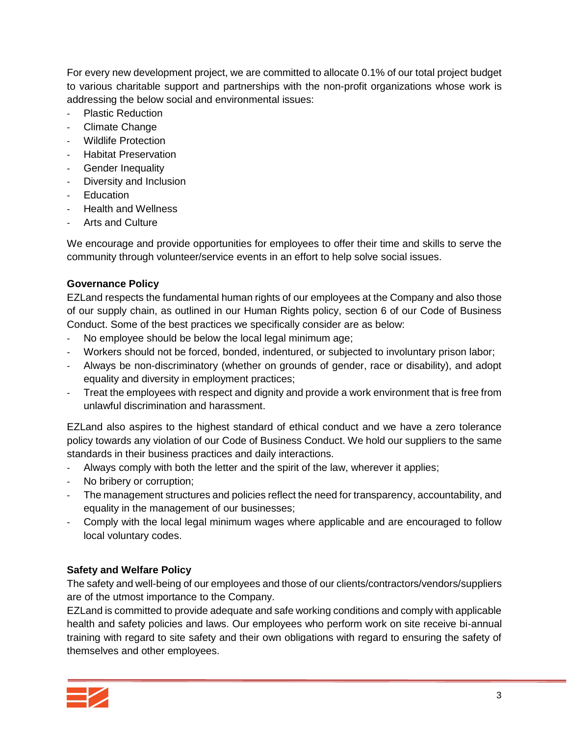For every new development project, we are committed to allocate 0.1% of our total project budget to various charitable support and partnerships with the non-profit organizations whose work is addressing the below social and environmental issues:

- Plastic Reduction
- Climate Change
- Wildlife Protection
- Habitat Preservation
- Gender Inequality
- Diversity and Inclusion
- **Education**
- Health and Wellness
- Arts and Culture

We encourage and provide opportunities for employees to offer their time and skills to serve the community through volunteer/service events in an effort to help solve social issues.

## **Governance Policy**

EZLand respects the fundamental human rights of our employees at the Company and also those of our supply chain, as outlined in our Human Rights policy, section 6 of our Code of Business Conduct. Some of the best practices we specifically consider are as below:

- No employee should be below the local legal minimum age;
- Workers should not be forced, bonded, indentured, or subjected to involuntary prison labor;
- Always be non-discriminatory (whether on grounds of gender, race or disability), and adopt equality and diversity in employment practices;
- Treat the employees with respect and dignity and provide a work environment that is free from unlawful discrimination and harassment.

EZLand also aspires to the highest standard of ethical conduct and we have a zero tolerance policy towards any violation of our Code of Business Conduct. We hold our suppliers to the same standards in their business practices and daily interactions.

- Always comply with both the letter and the spirit of the law, wherever it applies;
- No bribery or corruption;
- The management structures and policies reflect the need for transparency, accountability, and equality in the management of our businesses;
- Comply with the local legal minimum wages where applicable and are encouraged to follow local voluntary codes.

## **Safety and Welfare Policy**

The safety and well-being of our employees and those of our clients/contractors/vendors/suppliers are of the utmost importance to the Company.

EZLand is committed to provide adequate and safe working conditions and comply with applicable health and safety policies and laws. Our employees who perform work on site receive bi-annual training with regard to site safety and their own obligations with regard to ensuring the safety of themselves and other employees.